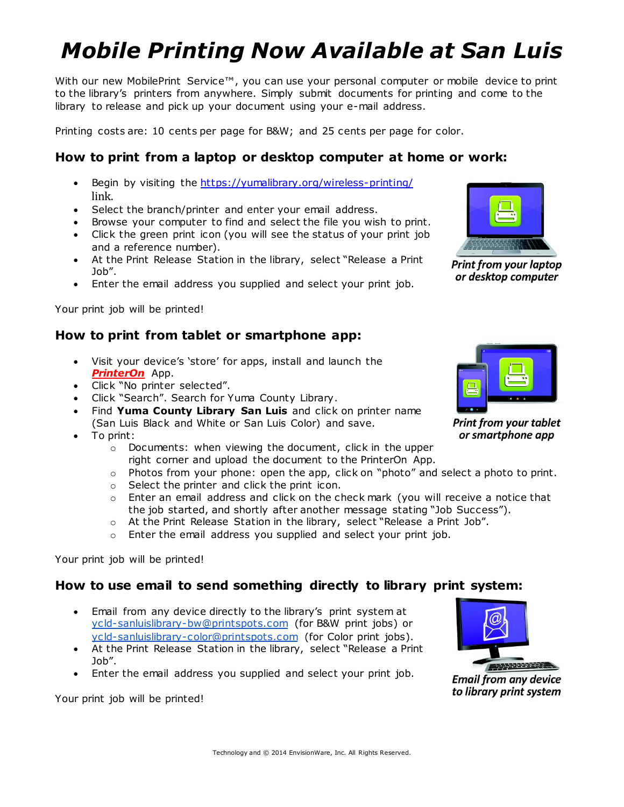# *Mobile Printing Now Available at San Luis*

With our new MobilePrint Service™, you can use your personal computer or mobile device to print to the library's printers from anywhere. Simply submit documents for printing and come to the library to release and pick up your document using your e-mail address.

Printing costs are: 10 cents per page for B&W; and 25 cents per page for color.

### **How to print from a laptop or desktop computer at home or work:**

- Begin by visiting the <https://yumalibrary.org/wireless-printing/> link.
- Select the branch/printer and enter your email address.
- Browse your computer to find and select the file you wish to print.
- Click the green print icon (you will see the status of your print job and a reference number).
- At the Print Release Station in the library, select "Release a Print Job".
- Enter the email address you supplied and select your print job.

Your print job will be printed!

#### **How to print from tablet or smartphone app:**

- Visit your device's 'store' for apps, install and launch the *PrinterOn* App.
- Click "No printer selected".
- Click "Search". Search for Yuma County Library.
- Find **Yuma County Library San Luis** and click on printer name (San Luis Black and White or San Luis Color) and save.
- To print:
	- o Documents: when viewing the document, click in the upper right corner and upload the document to the PrinterOn App.
	- $\circ$  Photos from your phone: open the app, click on "photo" and select a photo to print.
	- o Select the printer and click the print icon.
	- o Enter an email address and click on the check mark (you will receive a notice that the job started, and shortly after another message stating "Job Success").
	- o At the Print Release Station in the library, select "Release a Print Job".
	- $\circ$  Enter the email address you supplied and select your print job.

Your print job will be printed!

#### **How to use email to send something directly to library print system:**

- Email from any device directly to the library's print system at [ycld-sanluislibrary-bw@printspots.com](mailto:ycld-sanluislibrary-bw@printspots.com) (for B&W print jobs) or [ycld-sanluislibrary-color@printspots.com](mailto:ycld-sanluislibrary-color@printspots.com) (for Color print jobs).
- At the Print Release Station in the library, select "Release a Print Job".
- Enter the email address you supplied and select your print job.

Your print job will be printed!



**Print from your laptop** or desktop computer



**Print from your tablet** or smartphone app



**Email from any device** to library print system